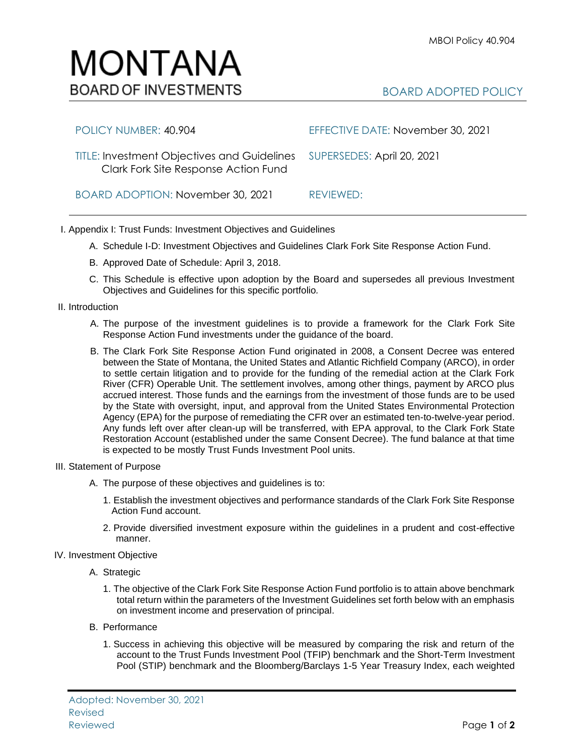## MONTANA **BOARD OF INVESTMENTS**

| POLICY NUMBER: 40.904                                                                      | EFFECTIVE DATE: November 30, 2021 |
|--------------------------------------------------------------------------------------------|-----------------------------------|
| <b>TITLE: Investment Objectives and Guidelines</b><br>Clark Fork Site Response Action Fund | SUPERSEDES: April 20, 2021        |
| BOARD ADOPTION: November 30, 2021                                                          | REVIEWED:                         |

- I. Appendix I: Trust Funds: Investment Objectives and Guidelines
	- A. Schedule I-D: Investment Objectives and Guidelines Clark Fork Site Response Action Fund.
	- B. Approved Date of Schedule: April 3, 2018.
	- C. This Schedule is effective upon adoption by the Board and supersedes all previous Investment Objectives and Guidelines for this specific portfolio*.*
- II. Introduction
	- A. The purpose of the investment guidelines is to provide a framework for the Clark Fork Site Response Action Fund investments under the guidance of the board.
	- B. The Clark Fork Site Response Action Fund originated in 2008, a Consent Decree was entered between the State of Montana, the United States and Atlantic Richfield Company (ARCO), in order to settle certain litigation and to provide for the funding of the remedial action at the Clark Fork River (CFR) Operable Unit. The settlement involves, among other things, payment by ARCO plus accrued interest. Those funds and the earnings from the investment of those funds are to be used by the State with oversight, input, and approval from the United States Environmental Protection Agency (EPA) for the purpose of remediating the CFR over an estimated ten-to-twelve-year period. Any funds left over after clean-up will be transferred, with EPA approval, to the Clark Fork State Restoration Account (established under the same Consent Decree). The fund balance at that time is expected to be mostly Trust Funds Investment Pool units.
- III. Statement of Purpose
	- A. The purpose of these objectives and guidelines is to:
		- 1. Establish the investment objectives and performance standards of the Clark Fork Site Response Action Fund account.
		- 2. Provide diversified investment exposure within the guidelines in a prudent and cost-effective manner.
- IV. Investment Objective
	- A. Strategic
		- 1. The objective of the Clark Fork Site Response Action Fund portfolio is to attain above benchmark total return within the parameters of the Investment Guidelines set forth below with an emphasis on investment income and preservation of principal.
	- B. Performance
		- 1. Success in achieving this objective will be measured by comparing the risk and return of the account to the Trust Funds Investment Pool (TFIP) benchmark and the Short-Term Investment Pool (STIP) benchmark and the Bloomberg/Barclays 1-5 Year Treasury Index, each weighted